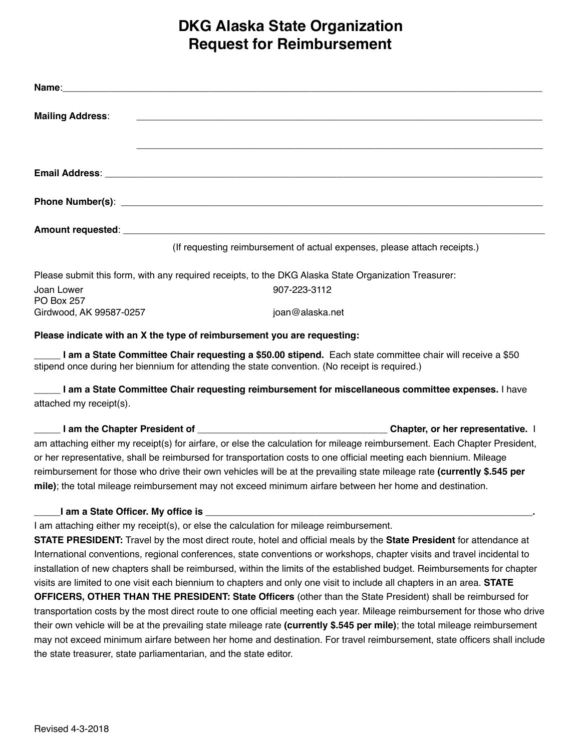## **DKG Alaska State Organization Request for Reimbursement**

| <b>Mailing Address:</b>         | <u> 1999 - Johann John Stein, mars and de British and de British and de British and de British and de British an</u> |
|---------------------------------|----------------------------------------------------------------------------------------------------------------------|
|                                 |                                                                                                                      |
|                                 |                                                                                                                      |
|                                 |                                                                                                                      |
|                                 |                                                                                                                      |
|                                 | (If requesting reimbursement of actual expenses, please attach receipts.)                                            |
|                                 | Please submit this form, with any required receipts, to the DKG Alaska State Organization Treasurer:                 |
| Joan Lower<br><b>PO Box 257</b> | 907-223-3112                                                                                                         |
| Girdwood, AK 99587-0257         | joan@alaska.net                                                                                                      |
|                                 | Please indicate with an X the type of reimbursement you are requesting:                                              |
|                                 | I am a State Committee Chair requesting a \$50.00 stipend. Each state committee chair will receive a \$50            |

stipend once during her biennium for attending the state convention. (No receipt is required.)

**\_\_\_\_\_ I am a State Committee Chair requesting reimbursement for miscellaneous committee expenses.** I have attached my receipt(s).

**I am the Chapter President of Chapter Section 2 Chapter**, or her representative. I am attaching either my receipt(s) for airfare, or else the calculation for mileage reimbursement. Each Chapter President, or her representative, shall be reimbursed for transportation costs to one official meeting each biennium. Mileage reimbursement for those who drive their own vehicles will be at the prevailing state mileage rate **(currently \$.545 per mile)**; the total mileage reimbursement may not exceed minimum airfare between her home and destination.

## **I am a State Officer. My office is \_**

I am attaching either my receipt(s), or else the calculation for mileage reimbursement.

**STATE PRESIDENT:** Travel by the most direct route, hotel and official meals by the **State President** for attendance at International conventions, regional conferences, state conventions or workshops, chapter visits and travel incidental to installation of new chapters shall be reimbursed, within the limits of the established budget. Reimbursements for chapter visits are limited to one visit each biennium to chapters and only one visit to include all chapters in an area. **STATE OFFICERS, OTHER THAN THE PRESIDENT: State Officers** (other than the State President) shall be reimbursed for transportation costs by the most direct route to one official meeting each year. Mileage reimbursement for those who drive their own vehicle will be at the prevailing state mileage rate **(currently \$.545 per mile)**; the total mileage reimbursement may not exceed minimum airfare between her home and destination. For travel reimbursement, state officers shall include the state treasurer, state parliamentarian, and the state editor.